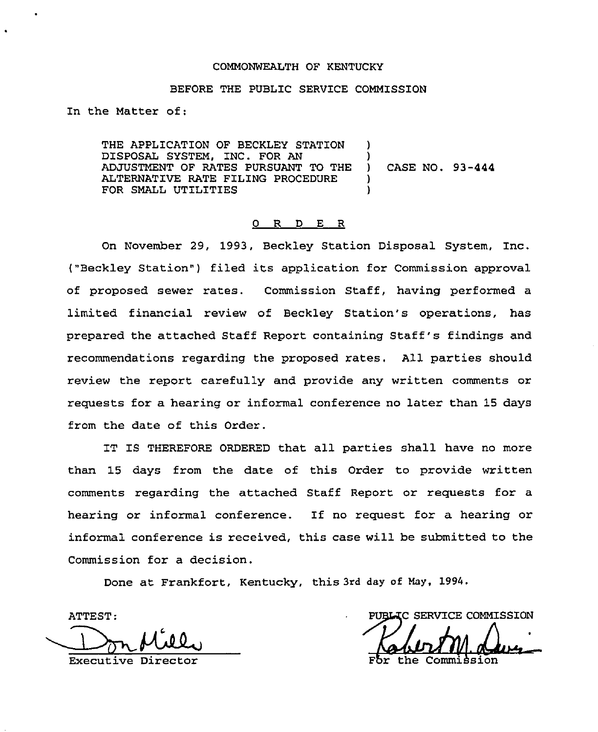#### COMMONWEALTH OF KENTUCKY

## BEFORE THE PUBLIC SERVICE COMMISSION

In the Matter of:

THE APPLICATION OF BECKLEY STATION DISPOSAL SYSTEM, INC. FOR AN ADJUSTMENT OF RATES PURSUANT TO THE ALTERNATIVE RATE FILING PROCEDURE FOR SMALL UTILITIES ) ) ) CASE NO. 93-444 ) )

#### 0 R D E R

On November 29, 1993, Beckley Station Disposal System, Inc. ("Beckley Station") filed its application for Commission approval of proposed sewer rates. Commission Staff, having perfoxmed a limited financial review of Beckley Station's operations, has prepared the attached Staff Report containing Staff's findings and recommendations regarding the proposed rates, All parties should review the report carefully and provide any written comments ox requests for a hearing or informal conference no later than 15 days from the date of this Order.

IT IS THEREFORE ORDERED that all parties shall have no moxe than 15 days from the date of this Order to provide written comments regarding the attached Staff Report or requests for a hearing or informal conference. If no request for a hearing or informal conference is received, this case will be submitted to the Commission for a decision.

Done at Frankfort, Kentucky, this 3rd day of May, 1994.

ATTEST: PUBLIC SERVICE COMM<br>Executive Director For the Commission

PUBLIC SERVICE COMMISSION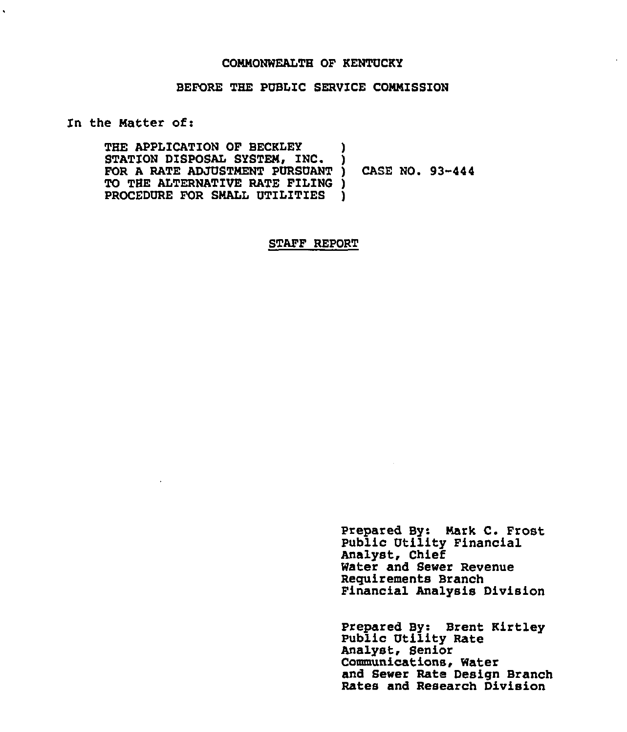#### COMMONWEALTH OF KENTUCKY

# BEFORE THE PUBLIC SERVICE COMMISSION

In the Matter of:

 $\ddot{\phantom{0}}$ 

THE APPLICATION OF BECKLEY STATION DISPOSAL SYSTEM, INC. FOR A RATE ADJUSTMENT PURSUANT TO THE ALTERNATIVE RATE FILING ) PROCEDURE FOR SMALL UTILITIES ) ) ) CASE NO. 93-444 )

STAFF REPORT

Prepared BY: Mark C. Prost Public Utility Financial Analyst, Chief Water and Sewer Revenue Requirements Branch Financial Analysis Division

Prepared By: Brent Kirtley Public Utility Rate Analyst, Senior Communications, Water and Sewer Rate Design Branch Rates and Research Division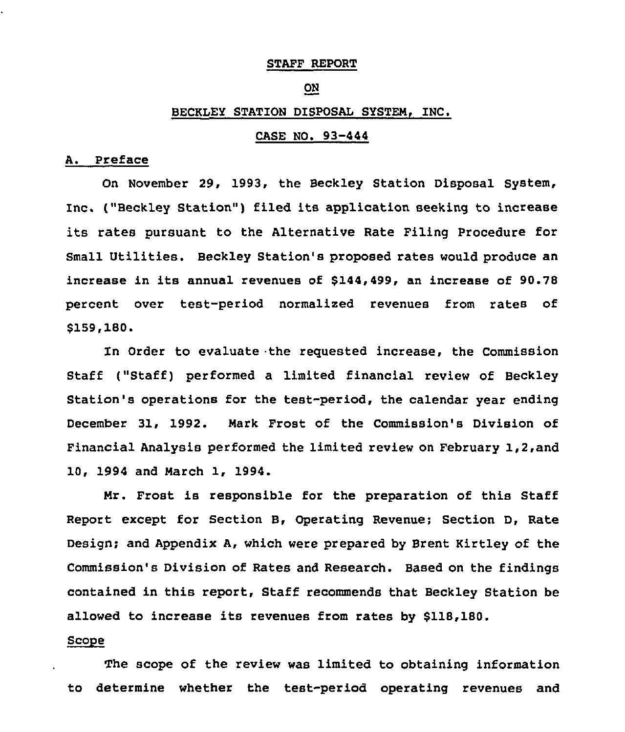#### STAFF REPORT

# ON

#### BECKLEY STATION DISPOSAL SYSTEM, INC.

# CASE NO. 93-444

### A. Preface

On November 29, 1993, the Beckley Station Disposal System, Inc. ("Beckley Station") filed its application seeking to increase its rates pursuant to the Alternative Rate Filing Procedure for Small Utilities. Beckley Station's proposed rates would produce an increase in its annual revenues of \$144,499, an increase of 90.78 percent over test-period normalized revenues from rates of \$159,180.

In Order to evaluate the requested increase, the Commission Staff ("Staff) performed <sup>a</sup> limited financial review of Beckley Station's operations for the test-period, the calendar year ending December 31, 1992. Mark Frost of the Commission's Division of Financial Analysis performed the limited review on February 1,2,and 10, 1994 and March 1, 1994.

Mr. Frost is responsible for the preparation of this Staff Report except for Section 8, Operating Revenue; Section D, Rate Design; and Appendix A, which were prepared by Brent Kirtley of the Commission's Division of Rates and Research. Based on the findings contained in this report, Staff recommends that Beckley Station be allowed to increase its revenues from rates by \$118,180.

## Scope

The scope of the review was limited to obtaining information to determine whether the test-period operating revenues and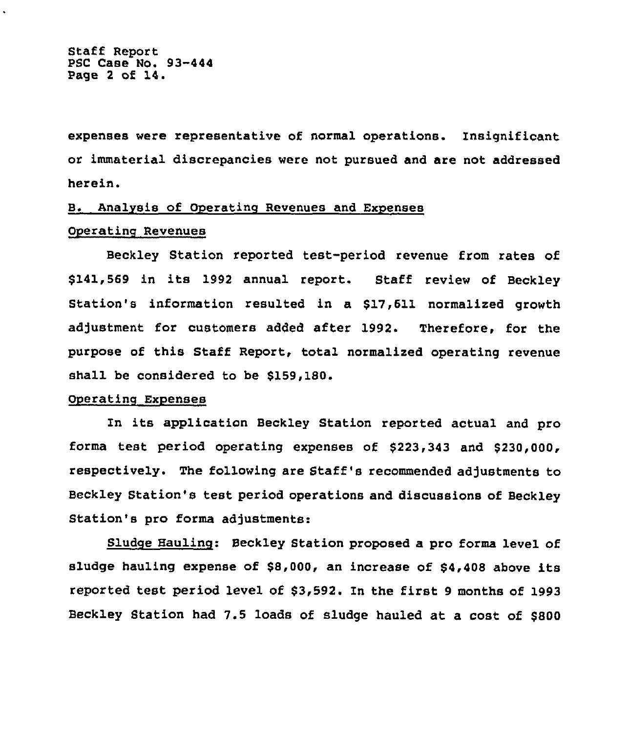Staff Report PSC Case No. 93-444 Page <sup>2</sup> of 14.

expenses were representative of normal operations. Insignificant or immaterial discrepancies were not pursued and are not addressed herein.

# B. Analysis of Operating Revenues and Expenses

## Operating Revenues

Beckley Station reported test-period revenue from rates of \$141,569 in its 1992 annual report. Staff review of Beckley Station's information resulted in a \$17,611 normalized growth adjustment for customers added after 1992. Therefore, for the purpose of this Staff Report, total normalized operating revenue shall be considered to be \$159,180.

# Operating Expenses

In its application Beckley Station reported actual and pro forms test period operating expenses of \$223,343 and \$230,000, respectively. The following are Staff's recommended adjustments to Beckley Station's test period operations and discussions of Beckley Station's pro forma adjustments:

Sludge Hauling: Beckley Station proposed a pro forma level of sludge hauling expense of \$8,000, an increase of \$4,408 above its reported test period level of \$3,592. In the first <sup>9</sup> months of 1993 Beckley Station had 7.5 loads of sludge hauled at a cost of \$800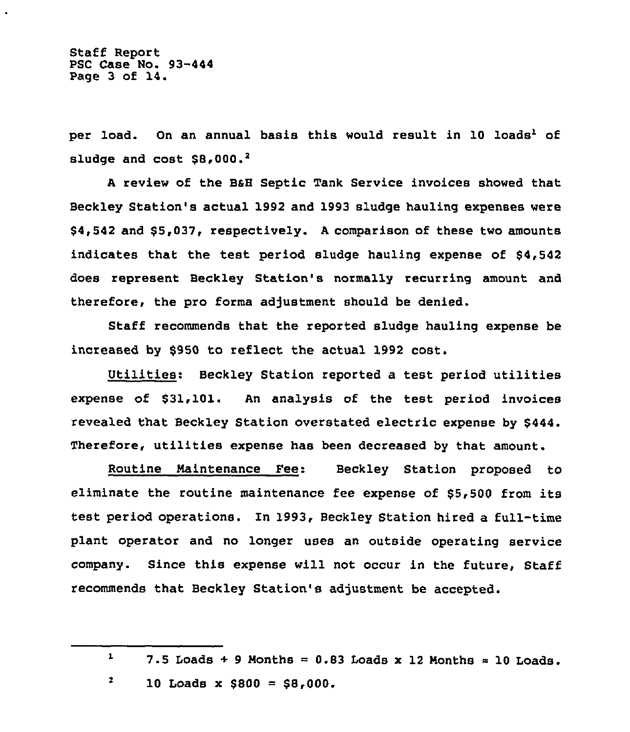Staff Report PSC Case No. 93-444 Page 3 of 14.

per load. On an annual basis this would result in 10 loads<sup>1</sup> of sludge and  $cost$   $$8,000.^2$ 

<sup>A</sup> review of the BaH Septic Tank Service invoices showed that Beckley Station's actual 1992 and 1993 sludge hauling expenses were \$4,542 and \$5,037, respectively. <sup>A</sup> comparison of these two amounts indicates that the test period sludge hauling expense of \$4,542 does represent Beckley Station's normally recurring amount and therefore, the pro forma adjustment should be denied.

Staff recommends that the reported sludge hauling expense be increased by \$950 to reflect the actual 1992 cost.

Utilities: Beckley Station reported a test period utilities expense of \$31,101. An analysis of the test period invoices revealed that Beckley Station overstated electric expense by \$444. Therefore, utilities expense has been decreased by that amount.

Routine Maintenance Fee: Beckley Station proposed to eliminate the routine maintenance fee expense of \$5,500 from its test period operations. In 1993, Beckley Station hired a full-time plant operator and no longer uses an outside operating service company. Since this expense will not occur in the future, Staff recommends that Beckley Station's adjustment be accepted.

 $\boldsymbol{2}$ 10 Loads x  $$800 = $8,000$ .

 $\mathbf{1}$ 7.5 Loads  $+$  9 Months = 0.83 Loads x 12 Months  $\approx$  10 Loads.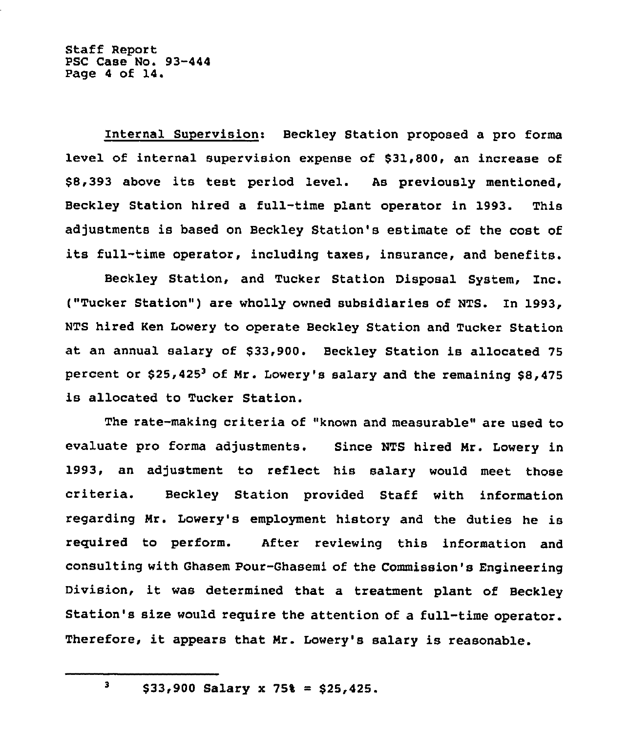Internal Supervision: Beckley Station proposed a pro forms level of internal supervision expense of \$31,800, an increase of \$8,393 above its test period level. As previously mentioned, Beckley Station hired a full-time plant operator in 1993. This adjustments is based on Beckley Station's estimate of the cost of its full-time operator, including taxes, insurance, and benefits.

Beckley Station, and Tucker Station Disposal System, Inc. ("Tucker Station") are wholly owned subsidiaries of NTS. In 1993, NTS hired Ken Lowery to operate Beckley Station and Tucker Station at an annual salary of \$33,900. Beckley Station is allocated 75 percent or \$25,425<sup>3</sup> of Mr. Lowery's salary and the remaining \$8,475 is allocated to Tucker Station.

The rate-making criteria of "known and measurable" are used to evaluate pro forms adjustments. Since NTS hired Mr. Lowery in 1993, an adjustment to reflect his salary would meet those criteria. Beckley Station provided Staff with information regarding Mr. Lowery's employment history and the duties he is reguired to perform. After reviewing this information and consulting with Ghasem Pour-Ghasemi of the Commission's Engineering Division, it was determined that <sup>a</sup> treatment plant of Beckley Station's size would require the attention of a full-time operator. Therefore, it appears that Mr. Lowery's salary is reasonable.

 $$33,900$  Salary x 75% = \$25,425.

 $\mathbf{3}$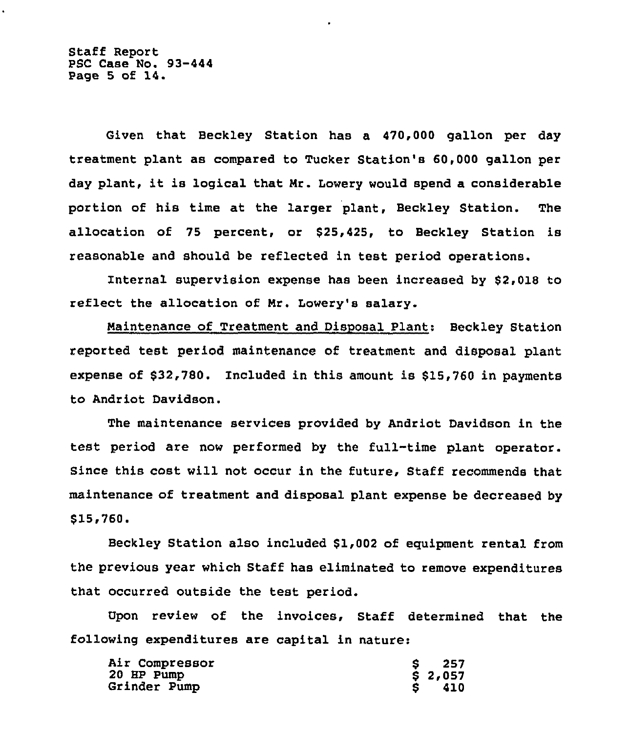Staff Report PSC Case No. 93-444 Page <sup>5</sup> of 14.

Given that Beckley Station has a 470,000 gallon per day treatment plant as compared to Tucker Station's 60,000 gallon per day plant, it is logical that Mr. Lowery would spend <sup>a</sup> considerable portion of his time at the larger plant, Beckley Station. The allocation of 75 percent, or \$25,425, to Beckley Station is reasonable and should be reflected in test period operations,

Internal supervision expense has been increased by \$2,018 to reflect the allocation of Mr, Lowery's salary.

Maintenance of Treatment and Disposal Plant: Beckley Station reported test period maintenance of treatment and disposal plant expense of  $$32,780$ . Included in this amount is  $$15,760$  in payments to Andriot Davidson.

The maintenance services provided by Andriot Davidson in the test period are now performed by the full-time plant operator. Since this cost will not occur in the future, Staff recommends that maintenance of treatment and disposal plant expense be decreased by \$15,760

Beckley Station also included \$1,002 of equipment rental from the previous year which Staff has eliminated to remove expenditures that occurred outside the test period.

Upon review of the invoices, Staff determined that the following expenditures are capital in nature:

| Air Compressor | 257     |
|----------------|---------|
| 20 HP Pump     | \$2,057 |
| Grinder Pump   | 410     |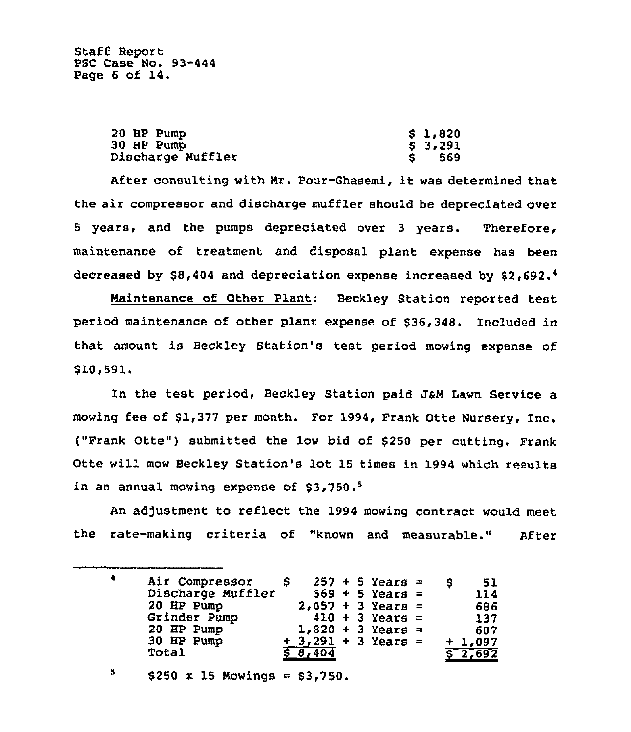Staff Report PSC Case No. 93-444 Page 6 of 14.

| 20 HP Pump               | \$1,820 |
|--------------------------|---------|
| 30 HP Pump               | \$3,291 |
| <b>Discharge Muffler</b> | -569    |

After consulting with Nr. Pour-Ghasemi, it was determined that the air compressor and discharge muffler should be depreciated over 5 years, and the pumps depreciated over 3 years. Therefore, maintenance of treatment and disposal plant expense has been decreased by \$8,404 and depreciation expense increased by \$2,692.4

Maintenance of Other Plant: Beckley Station reported test period maintenance of other plant expense of \$36,348. Included in that amount is Beckley Station's test period mowing expense of \$10,591.

In the test period, Beckley Station paid J&M Lawn Service a mowing fee of \$1,377 per month. For 1994, Frank Otte Nursery, Inc. ("Frank Otte") submitted the low bid of \$<sup>250</sup> per cutting. Frank Otte will mow Beckley Station's lot 15 times in 1994 which results in an annual mowing expense of  $$3,750.^5$ 

An adjustment to reflect the 1994 mowing contract would meet the rate-making criteria of "known and measurable." After

 $\ddot{\phantom{a}}$ 257 + 5 Years = Air Compressor S. \$ 51 569 + 5 Years = Discharge Muffler 114 2,057 + 3 Years = 20 HP Pump 686  $410 + 3$  Years = Grinder Pump 137  $1,820 + 3$  Years = 20 HP Pump 607  $3,291$  + 3 Years = 30 HP Pump + + 1,097 Total 8,404 8 2,692

 $\mathbf{5}$  $$250 \times 15$  Mowings =  $$3,750.$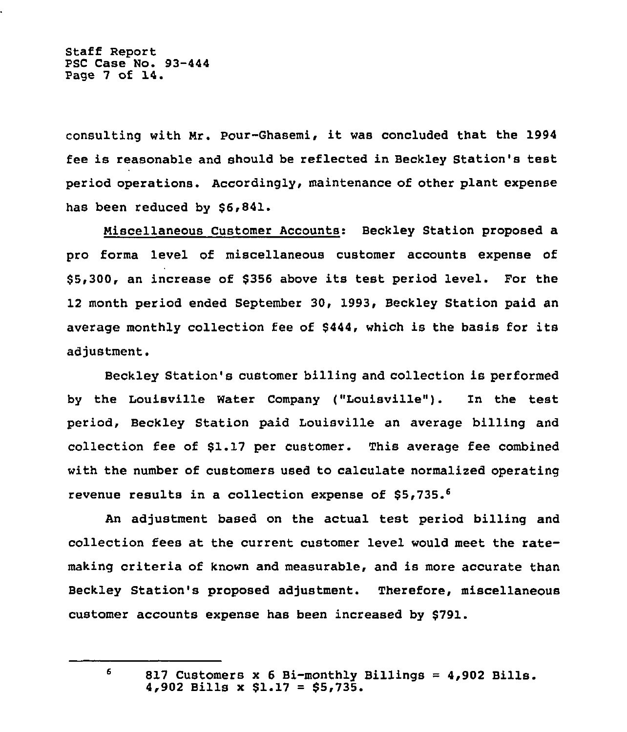Staff Report PSC Case No. 93-444 Page <sup>7</sup> of 14.

consulting with Mr. Pour-Ghasemi, it was concluded that the 1994 fee is reasonable and should be reflected in Beckley Station's test period operations. Accordingly, maintenance of other plant expense has been reduced by \$6,841.

Miscellaneous Customer Accounts: Beckley Station proposed a pro forma level of miscellaneous customer accounts expense of \$ 5,300, an increase of \$356 above its test period level. For the 12 month period ended September 30, 1993, Beckley Station paid an average monthly collection fee of \$444, which is the basis for its adjustment.

Beckley Station's customer billing and collection is performed by the Louisville Water Company ("Louisville"). In the test period, Beckley Station paid Louisville an average billing and collection fee of \$1.17 per customer. This average fee combined with the number of customers used to calculate normalized operating revenue results in a collection expense of \$5,735.

An adjustment based on the actual test period billing and collection fees at the current customer level would meet the ratemaking criteria of known and measurable, and is more accurate than Beckley Station's proposed adjustment. Therefore, miscellaneous customer accounts expense has been increased by \$791.

6

<sup>817</sup> Customers <sup>x</sup> <sup>6</sup> Bi-monthly Billings <sup>=</sup> 4,902 Bills. 4,902 Bills x \$1.17 <sup>=</sup> \$5,735.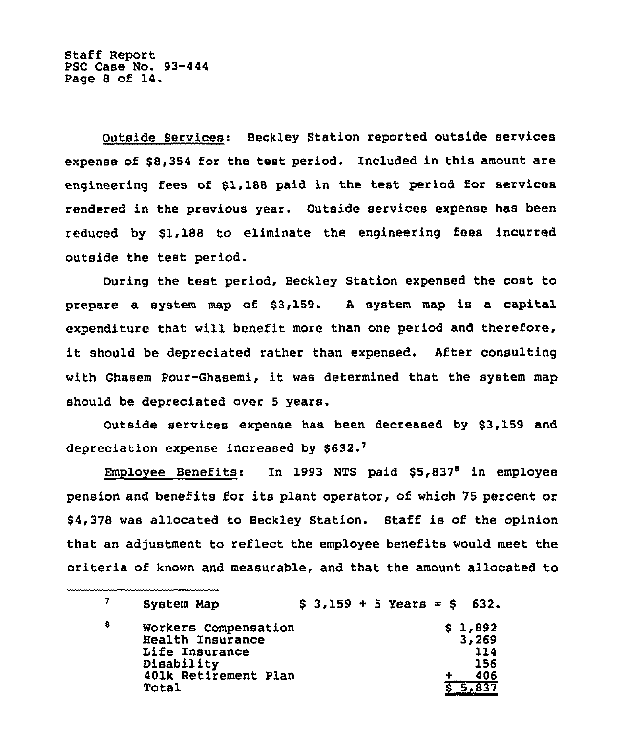Staff Report PSC Case No. 93-444 Page <sup>8</sup> of 14.

Outside Services: Beckley Station reported outside services expense of \$8,354 for the test period. Included in this amount are engineering fees of \$1,188 paid in the test period for services rendered in the previous year. Outside services expense has been reduced by \$1,188 to eliminate the engineering fees incurred outside the test period.

During the test period, Beckley Station expensed the cost to prepare a system map of \$3,159. A system map is a capital expenditure that will benefit more than one period and therefore, it should be depreciated rather than expensed. After consulting with Ghasem Pour-Ghasemi, it was determined that the system map should be depreciated over 5 years.

Outside services expense has been decreased by \$3,159 and depreciation expense increased by \$632.7

Employee Benefits: In 1993 NTS paid  $$5,837<sup>8</sup>$  in employee pension and benefits for its plant operator, of which 75 percent or \$4,378 was allocated to Beckley Station. Staff is of the opinion that an adjustment to reflect the employee benefits would meet the criteria of known and measurable, and that the amount allocated to

|   | System Map                                                                                                |  |  | $$3,159 + 5 \text{ Years} = $632.$ |  |                                       |
|---|-----------------------------------------------------------------------------------------------------------|--|--|------------------------------------|--|---------------------------------------|
| 8 | Workers Compensation<br>Health Insurance<br>Life Insurance<br>Disability<br>401k Retirement Plan<br>Total |  |  |                                    |  | \$1,892<br>3,269<br>114<br>156<br>406 |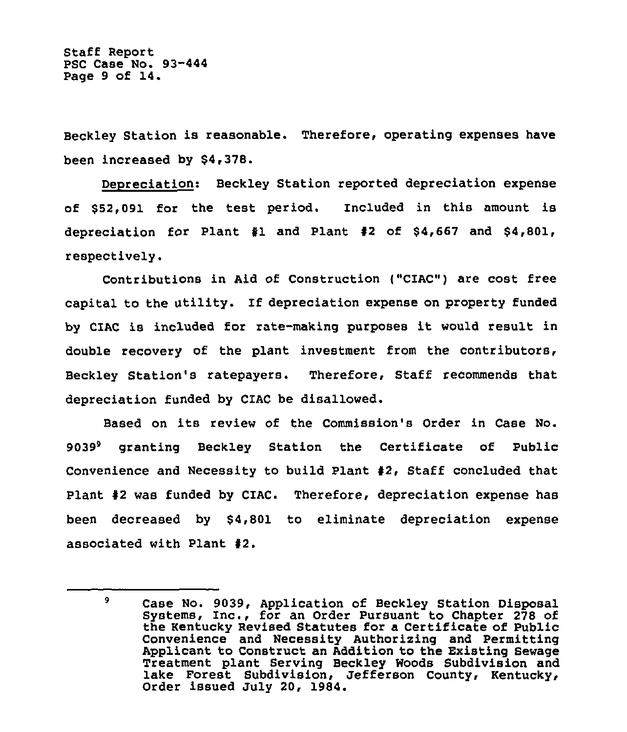Staff Report PSC Case No. 93-444 Page 9 of 14.

Beckley Station is reasonable. Therefore, operating expenses have been increased by \$4,378.

Depreciation: Beckley Station reported depreciation expense of \$52,091 for the test period. Included in this amount is depreciation for Plant  $\frac{1}{2}$  and Plant  $\frac{1}{2}$  of \$4,667 and \$4,801, respectively.

Contributions in Aid of Construction ("CIAC") are cost free capital to the utility. If depreciation expense on property funded by CIAC is included for rate-making purposes it would result in double recovery of the plant investment from the contributors, Beckley Station's ratepayers. Therefore, Staff recommends that depreciation funded by C1AC be disallowed.

Based on its review of the Commission's Order in Case No. 9039<sup>9</sup> granting Beckley Station the Certificate of Public Convenience and Necessity to build Plant \$2, Staff concluded that Plant #2 was funded by CIAC. Therefore, depreciation expense has been decreased by \$4,801 to eliminate depreciation expense associated with Plant \$2.

 $\overline{9}$ Case No. 9039, Application of Beckley Station Disposal Systems, Inc., for an Order Pursuant to Chapter 278 of the Kentucky Revised Statutes for a Certificate of public Convenience and Necessity Authorizing and Permitting Applicant to Construct an Addition to the Existing Sewage Treatment plant Serving Beckley Woods Subdivision and lake Forest Subdivision, Jefferson County, Kentucky, Order issued July 20, 1984.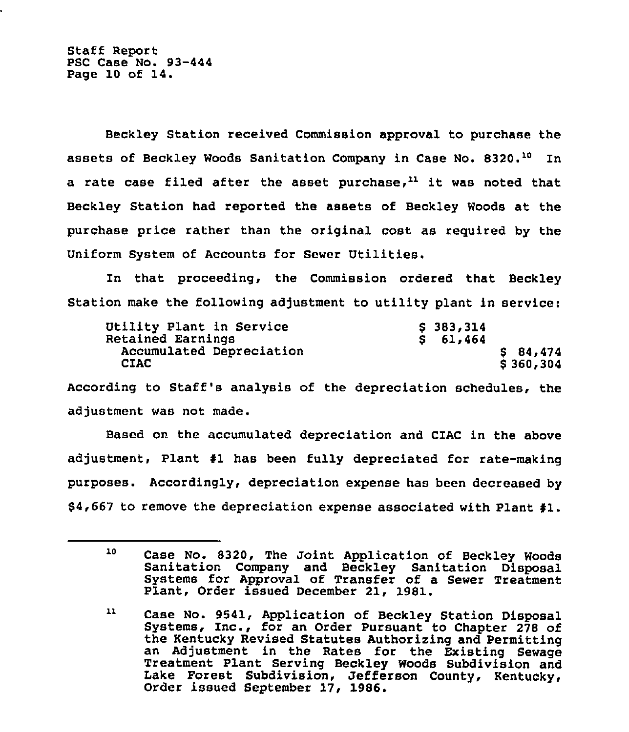Staff Report PSC Case No. 93-444 Page 10 of 14.

Beckley Station received Commission approval to purchase the assets of Beckley Woods Sanitation Company in Case No. 8320.<sup>10</sup> In a rate case filed after the asset purchase, $^{11}$  it was noted that Beckley Station had reported the assets of Beckley Woods at the purchase price rather than the original cost as required by the Uniform System of Accounts for Sewer Utilities.

In that proceeding, the Commission ordered that Beckley Station make the following adjustment to utility plant in service:

| Utility Plant in Service | \$383,314 |
|--------------------------|-----------|
| Retained Earnings        | \$61,464  |
| Accumulated Depreciation | \$84,474  |
| <b>CIAC</b>              | \$360,304 |

According to Staff's analysis of the depreciation schedules, the adjustment was not made.

Based on the accumulated depreciation and CIAC in the above adjustment, Plant \$1 has been fully depreciated for rate-making purposes. Accordingly, depreciation expense has been decreased by \$4,667 to remove the depreciation expense associated with Plant \$1.

<sup>10</sup> Case No. S320, The Joint Application of Beckley Woods Sanitation Company and Beckley Sanitation Disposal Systems for Approval of Transfer of <sup>a</sup> Sewer Treatment Plant, Order issued December 21, 1981.

 $11$ Case No. 9541, Application of Beckley Station Disposal Systems, Inc., for an Order Pursuant to Chapter 278 of the Kentucky Revised Statutes Authorizing and Permitting an Adjustment in the Rates for the Existing Sewage Treatment Plant Serving Beckley Woods Subdivision and Lake Forest Subdivision, Jefferson County, Kentucky, Order issued September 17, 1986.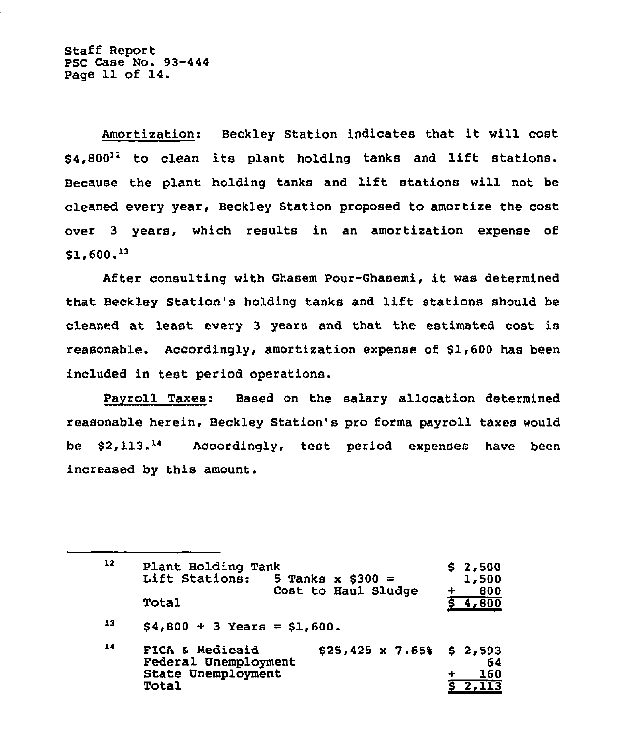Staff Report PSC Case No. 93-444 Page 11 of 14.

Amortization: Beckley Station indicates that it will cost  $$4.800<sup>12</sup>$  to clean its plant holding tanks and lift stations. Because the plant holding tanks and lift stations will not be cleaned every year, Beckley Station proposed to amortize the cost over 3 years, which results in an amortization expense of  $$1,600.^{13}$ 

After consulting with Ghasem Pour-Ghasemi, it was determined that Beckley Station's holding tanks and lift stations should be cleaned at least every <sup>3</sup> years and that the estimated cost is reasonable. Accordingly, amortization expense of \$1,600 has been included in test period operations.

Pavroll Taxes: Based on the salary allocation determined reasonable herein, Beckley Station's pro forms payroll taxes would be \$2,113.14 Accordingly, test period expenses have been increased by this amount.

12 13 14 Plant Holding Tank<br>Lift Stations: 5 Tanks x \$300 = Cost to Haul Sludge Total  $$4,800 + 3$  Years = \$1,600. FICA & Medicaid  $$25,425 \times 7.65$ Federal Unemployment State Unemployment Total  $$ 2,500$ 1,500 + 800 4,800 \$ 2,593 64 160 2,113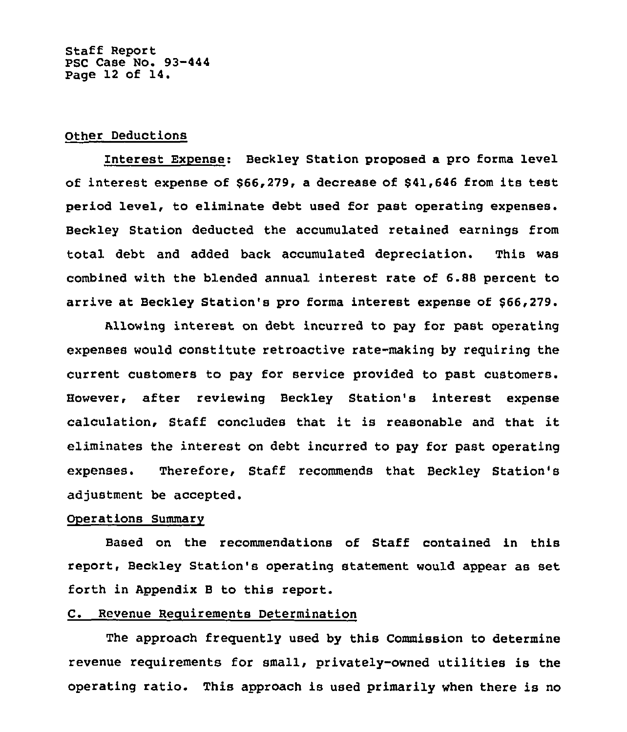## Other Deductions

Interest Expense: Beckley Station proposed a pro forma level of interest expense of \$66,279, a decrease of \$41,646 from its test period level, to eliminate debt used for past operating expenses. Beckley Station deducted the accumulated retained earnings from total debt and added back accumulated depreciation. This was combined with the blended annual interest rate of 6.\$<sup>8</sup> percent to arrive at Beckley Station's pro forms interest expense of \$66,279.

Allowing interest on debt incurred to pay for past operating expenses would constitute retroactive rate-making by requiring the current customers to pay for service provided to past However, after reviewing Beckley Station's interest expense calculation, Staff concludes that it is reasonable and that it eliminates the interest on debt incurred to pay for past operating expenses. Therefore, Staff recommends that Beckley Station's adjustment be accepted.

#### Operations Summary

Based on the recommendations of Staff contained in this report, Beckley Station's operating statement would appear as set forth in Appendix B to this report.

# C. Revenue Requirements Determination

The approach frequently used by this Commission to determine revenue requirements for small, privately-owned utilities is the operating ratio. This approach is used primarily when there is no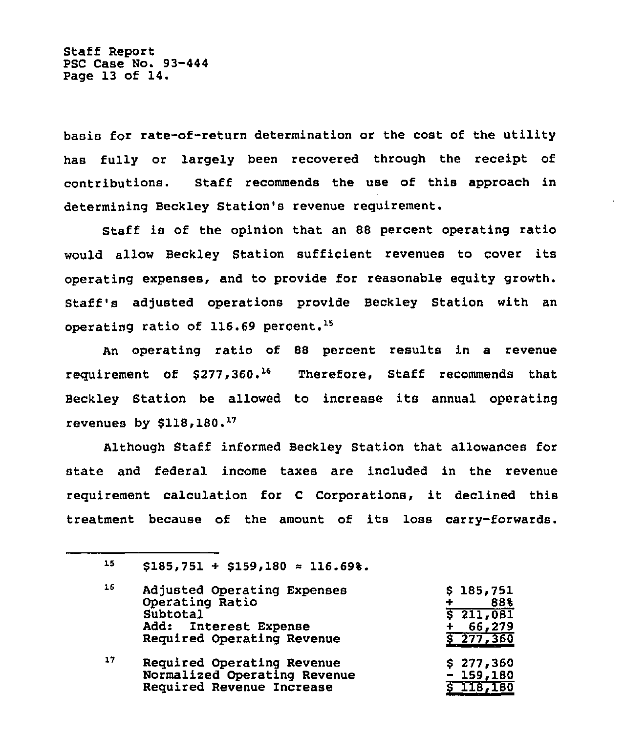Staff Report PSC Case No. 93-444 Page 13 of 14.

basis for rate-of-return determination or the cost of the utility has fully or largely been recovered through the receipt of contributions. Staff recommends the use of this approach in determining Beckley Station's revenue requirement.

Staff is of the opinion that an 88 percent operating ratio would allow Beckley Station sufficient revenues to cover its operating expenses, and to provide for reasonable equity growth. Staff's adjusted operations provide Beckley Station with an operating ratio of  $116.69$  percent.<sup>15</sup>

An operating ratio of 88 percent results in a revenue requirement of  $$277,360.^{16}$  Therefore, Staff recommends that Beckley Station be allowed to increase its annual operating revenues by  $$118,180.^{17}$ 

Although Staff informed Beckley Station that allowances for state and federal income taxes are included in the revenue requirement calculation for <sup>C</sup> Corporations, it declined this treatment because of the amount of its loss carry-forwards.

15  $$185,751 + $159,180 \approx 116.69$ %.

| 16 | Adjusted Operating Expenses<br>Operating Ratio | \$185,751<br>88%<br>4 |
|----|------------------------------------------------|-----------------------|
|    | Subtotal                                       | 5211,081              |
|    | Add: Interest Expense                          | 66,279                |
|    | Required Operating Revenue                     | \$277,360             |
| 17 | Required Operating Revenue                     | \$277,360             |
|    | Normalized Operating Revenue                   | $-159,180$            |
|    | Required Revenue Increase                      | \$118,180             |
|    |                                                |                       |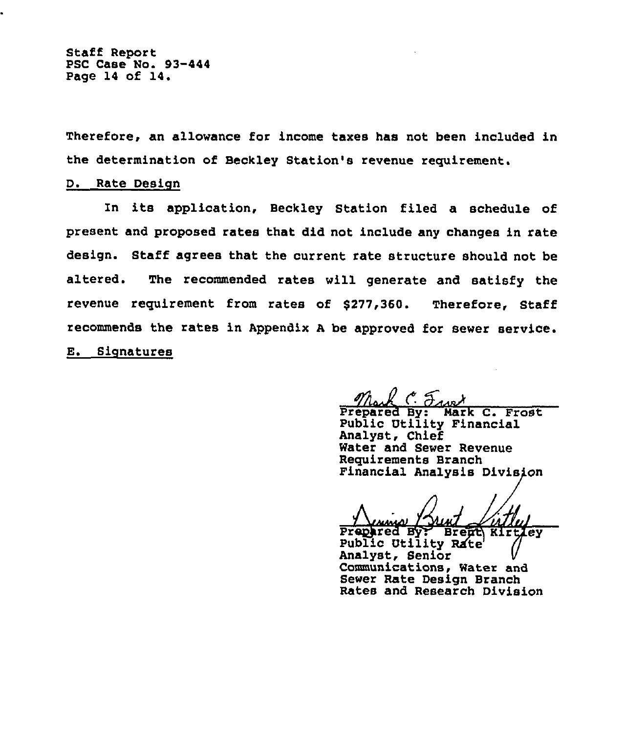Staff Report PSC Case No. 93-444 Page 14 of 14.

Therefore, an allowance for income taxes has not been included in the determination of Beckley Station's revenue requirement.

### D. Rate Design

In its application, Beckley Station filed a schedule of present and proposed rates that did not include any changes in rate design. Staff agrees that the current rate structure should not be altered. The recommended rates will generate and satisfy the revenue requirement from rates of \$277,360. Therefore, Staff recommends the rates in Appendix <sup>A</sup> be approved for sewer service. E. Signatures

 $\frac{\eta_{\text{back}}}{\text{Prepared By: Mark C. Frost}}$ 

Public Utility Financial Analyst, Chief Water and Sewer Revenue Requirements Branch Financial Analysis Division

Prepared By? Brent Kirtley<br>Public Utility Rate Analyst, Senior Communications, Water and Sewer Rate Design Branch Rates and Research Division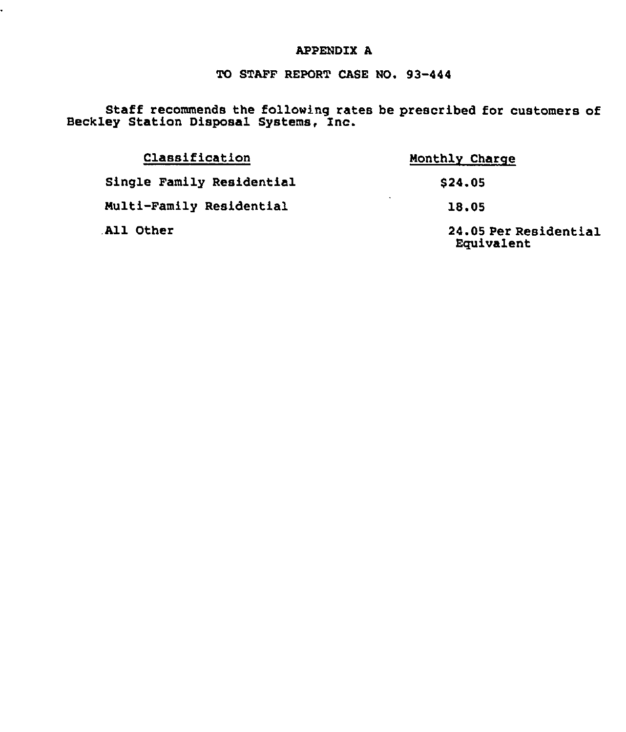# APPENDIX A

.

# TO STAFF REPORT CASE NO. 93-444

Staff recommends the following rates be prescribed for customers of Beckley Station Disposal Systems, Inc.

| Classification            | Monthly Charge                      |  |  |  |
|---------------------------|-------------------------------------|--|--|--|
| Single Family Residential | \$24,05                             |  |  |  |
| Multi-Family Residential  | $\sim$<br>18.05                     |  |  |  |
| All Other                 | 24.05 Per Residential<br>Equivalent |  |  |  |